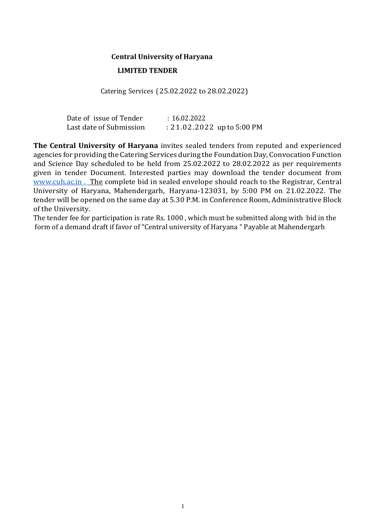# **Central University of Haryana LIMITED TENDER**

Catering Services (25.02.2022 to 28.02.2022)

| Date of issue of Tender | : 16.02.2022                 |
|-------------------------|------------------------------|
| Last date of Submission | $: 21.02.2022$ up to 5:00 PM |

**The Central University of Haryana** invites sealed tenders from reputed and experienced agencies for providing the Catering Services during the Foundation Day, Convocation Function and Science Day scheduled to be held from 25.02.2022 to 28.02.2022 as per requirements given in tender Document. Interested parties may download the tender document from www.cuh.ac.in . The complete bid in sealed envelope should reach to the Registrar, Central University of Haryana, Mahendergarh, Haryana-123031, by 5:00 PM on 21.02.2022. The tender will be opened on the same day at 5.30 P.M. in Conference Room, Administrative Block of the University.

The tender fee for participation is rate Rs. 1000 , which must be submitted along with bid in the form of a demand draft if favor of "Central university of Haryana " Payable at Mahendergarh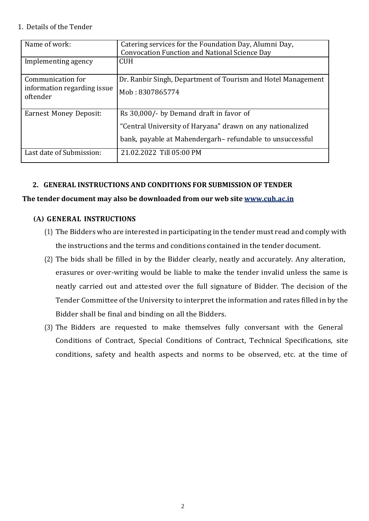#### 1. Details of the Tender

| Name of work:                 | Catering services for the Foundation Day, Alumni Day,<br><b>Convocation Function and National Science Day</b> |
|-------------------------------|---------------------------------------------------------------------------------------------------------------|
|                               |                                                                                                               |
| Implementing agency           | <b>CUH</b>                                                                                                    |
|                               |                                                                                                               |
| Communication for             | Dr. Ranbir Singh, Department of Tourism and Hotel Management                                                  |
| information regarding issue   |                                                                                                               |
|                               | Mob: 8307865774                                                                                               |
| oftender                      |                                                                                                               |
|                               |                                                                                                               |
| <b>Earnest Money Deposit:</b> | Rs 30,000/- by Demand draft in favor of                                                                       |
|                               |                                                                                                               |
|                               | "Central University of Haryana" drawn on any nationalized                                                     |
|                               |                                                                                                               |
|                               | bank, payable at Mahendergarh-refundable to unsuccessful                                                      |
| Last date of Submission:      | 21.02.2022 Till 05:00 PM                                                                                      |
|                               |                                                                                                               |
|                               |                                                                                                               |

### **2. GENERAL INSTRUCTIONS AND CONDITIONS FOR SUBMISSION OF TENDER**

#### **The tender document may also be downloaded from our web site [www.cuh.ac.in](http://www.cuh.ac.in/)**

### **(A) GENERAL INSTRUCTIONS**

- (1) The Bidders who are interested in participating in the tender must read and comply with the instructions and the terms and conditions contained in the tender document.
- (2) The bids shall be filled in by the Bidder clearly, neatly and accurately. Any alteration, erasures or over-writing would be liable to make the tender invalid unless the same is neatly carried out and attested over the full signature of Bidder. The decision of the Tender Committee of the University to interpret the information and rates filled in by the Bidder shall be final and binding on all the Bidders.
- (3) The Bidders are requested to make themselves fully conversant with the General Conditions of Contract, Special Conditions of Contract, Technical Specifications, site conditions, safety and health aspects and norms to be observed, etc. at the time of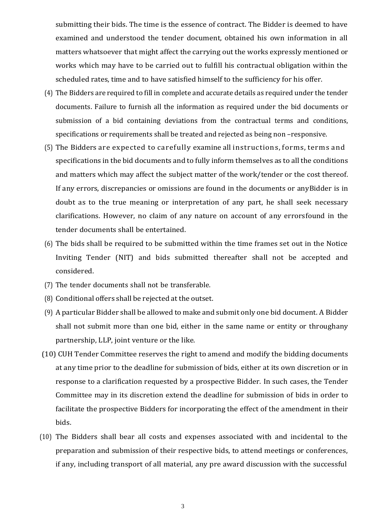submitting their bids. The time is the essence of contract. The Bidder is deemed to have examined and understood the tender document, obtained his own information in all matters whatsoever that might affect the carrying out the works expressly mentioned or works which may have to be carried out to fulfill his contractual obligation within the scheduled rates, time and to have satisfied himself to the sufficiency for his offer.

- (4) The Bidders are required to fill in complete and accurate details as required under the tender documents. Failure to furnish all the information as required under the bid documents or submission of a bid containing deviations from the contractual terms and conditions, specifications or requirements shall be treated and rejected as being non –responsive.
- (5) The Bidders are expected to carefully examine all instructions, forms, terms and specifications in the bid documents and to fully inform themselves as to all the conditions and matters which may affect the subject matter of the work/tender or the cost thereof. If any errors, discrepancies or omissions are found in the documents or anyBidder is in doubt as to the true meaning or interpretation of any part, he shall seek necessary clarifications. However, no claim of any nature on account of any errorsfound in the tender documents shall be entertained.
- (6) The bids shall be required to be submitted within the time frames set out in the Notice Inviting Tender (NIT) and bids submitted thereafter shall not be accepted and considered.
- (7) The tender documents shall not be transferable.
- (8) Conditional offers shall be rejected at the outset.
- (9) A particular Bidder shall be allowed to make and submit only one bid document. A Bidder shall not submit more than one bid, either in the same name or entity or throughany partnership, LLP, joint venture or the like.
- (10) CUH Tender Committee reserves the right to amend and modify the bidding documents at any time prior to the deadline for submission of bids, either at its own discretion or in response to a clarification requested by a prospective Bidder. In such cases, the Tender Committee may in its discretion extend the deadline for submission of bids in order to facilitate the prospective Bidders for incorporating the effect of the amendment in their bids.
- (10) The Bidders shall bear all costs and expenses associated with and incidental to the preparation and submission of their respective bids, to attend meetings or conferences, if any, including transport of all material, any pre award discussion with the successful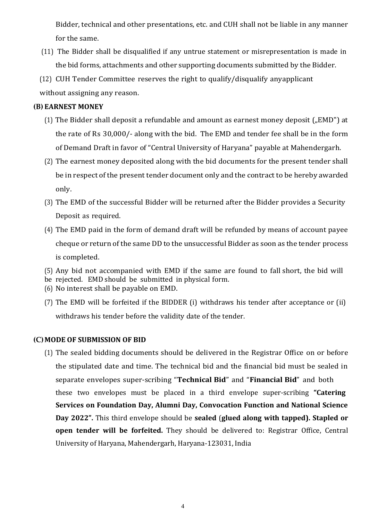Bidder, technical and other presentations, etc. and CUH shall not be liable in any manner for the same.

- (11) The Bidder shall be disqualified if any untrue statement or misrepresentation is made in the bid forms, attachments and other supporting documents submitted by the Bidder.
- (12) CUH Tender Committee reserves the right to qualify/disqualify anyapplicant without assigning any reason.

#### **(B) EARNEST MONEY**

- (1) The Bidder shall deposit a refundable and amount as earnest money deposit ( $\mu$ EMD") at the rate of Rs 30,000/- along with the bid. The EMD and tender fee shall be in the form of Demand Draft in favor of "Central University of Haryana" payable at Mahendergarh.
- (2) The earnest money deposited along with the bid documents for the present tender shall be in respect of the present tender document only and the contract to be hereby awarded only.
- (3) The EMD of the successful Bidder will be returned after the Bidder provides a Security Deposit as required.
- (4) The EMD paid in the form of demand draft will be refunded by means of account payee cheque or return of the same DD to the unsuccessful Bidder as soon as the tender process is completed.
- (5) Any bid not accompanied with EMD if the same are found to fall short, the bid will
- be rejected. EMD should be submitted in physical form.
- (6) No interest shall be payable on EMD.
- (7) The EMD will be forfeited if the BIDDER (i) withdraws his tender after acceptance or (ii) withdraws his tender before the validity date of the tender.

#### **(C)MODE OF SUBMISSION OF BID**

(1) The sealed bidding documents should be delivered in the Registrar Office on or before the stipulated date and time. The technical bid and the financial bid must be sealed in separate envelopes super-scribing "**Technical Bid**" and "**Financial Bid**" and both these two envelopes must be placed in a third envelope super-scribing **"Catering Services on Foundation Day, Alumni Day, Convocation Function and National Science Day 2022".** This third envelope should be **sealed** (**glued along with tapped). Stapled or open tender will be forfeited.** They should be delivered to: Registrar Office, Central University of Haryana, Mahendergarh, Haryana-123031, India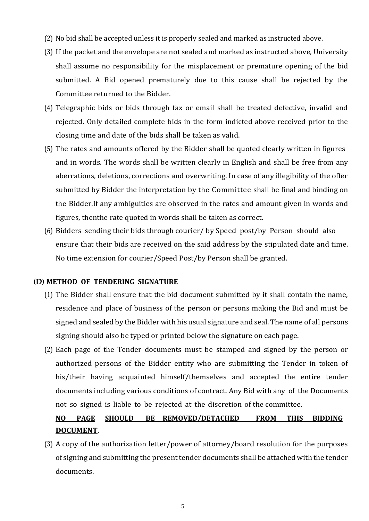- (2) No bid shall be accepted unless it is properly sealed and marked as instructed above.
- (3) If the packet and the envelope are not sealed and marked as instructed above, University shall assume no responsibility for the misplacement or premature opening of the bid submitted. A Bid opened prematurely due to this cause shall be rejected by the Committee returned to the Bidder.
- (4) Telegraphic bids or bids through fax or email shall be treated defective, invalid and rejected. Only detailed complete bids in the form indicted above received prior to the closing time and date of the bids shall be taken as valid.
- (5) The rates and amounts offered by the Bidder shall be quoted clearly written in figures and in words. The words shall be written clearly in English and shall be free from any aberrations, deletions, corrections and overwriting. In case of any illegibility of the offer submitted by Bidder the interpretation by the Committee shall be final and binding on the Bidder.If any ambiguities are observed in the rates and amount given in words and figures, thenthe rate quoted in words shall be taken as correct.
- (6) Bidders sending their bids through courier/ by Speed post/by Person should also ensure that their bids are received on the said address by the stipulated date and time. No time extension for courier/Speed Post/by Person shall be granted.

#### **(D) METHOD OF TENDERING SIGNATURE**

- (1) The Bidder shall ensure that the bid document submitted by it shall contain the name, residence and place of business of the person or persons making the Bid and must be signed and sealed by the Bidder with his usual signature and seal. The name of all persons signing should also be typed or printed below the signature on each page.
- (2) Each page of the Tender documents must be stamped and signed by the person or authorized persons of the Bidder entity who are submitting the Tender in token of his/their having acquainted himself/themselves and accepted the entire tender documents including various conditions of contract. Any Bid with any of the Documents not so signed is liable to be rejected at the discretion of the committee.

# **NO PAGE SHOULD BE REMOVED/DETACHED FROM THIS BIDDING DOCUMENT**.

(3) A copy of the authorization letter/power of attorney/board resolution for the purposes of signing and submitting the present tender documents shall be attached with the tender documents.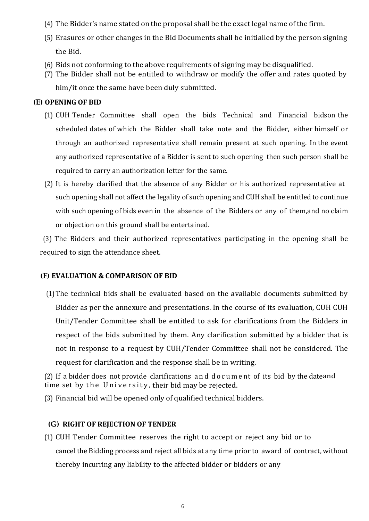- (4) The Bidder's name stated on the proposal shall be the exact legal name of the firm.
- (5) Erasures or other changes in the Bid Documents shall be initialled by the person signing the Bid.
- (6) Bids not conforming to the above requirements of signing may be disqualified.
- (7) The Bidder shall not be entitled to withdraw or modify the offer and rates quoted by

him/it once the same have been duly submitted.

#### **(E) OPENING OF BID**

- (1) CUH Tender Committee shall open the bids Technical and Financial bidson the scheduled dates of which the Bidder shall take note and the Bidder, either himself or through an authorized representative shall remain present at such opening. In the event any authorized representative of a Bidder is sent to such opening then such person shall be required to carry an authorization letter for the same.
- (2) It is hereby clarified that the absence of any Bidder or his authorized representative at such opening shall not affect the legality of such opening and CUH shall be entitled to continue with such opening of bids even in the absence of the Bidders or any of them,and no claim or objection on this ground shall be entertained.

(3) The Bidders and their authorized representatives participating in the opening shall be required to sign the attendance sheet.

#### **(F) EVALUATION & COMPARISON OF BID**

(1)The technical bids shall be evaluated based on the available documents submitted by Bidder as per the annexure and presentations. In the course of its evaluation, CUH CUH Unit/Tender Committee shall be entitled to ask for clarifications from the Bidders in respect of the bids submitted by them. Any clarification submitted by a bidder that is not in response to a request by CUH/Tender Committee shall not be considered. The request for clarification and the response shall be in writing.

(2) If a bidder does not provide clarifications a n d d o c u m e nt of its bid by the dateand time set by the University, their bid may be rejected.

(3) Financial bid will be opened only of qualified technical bidders.

#### **(G) RIGHT OF REJECTION OF TENDER**

(1) CUH Tender Committee reserves the right to accept or reject any bid or to cancel the Bidding process and reject all bids at any time prior to award of contract, without thereby incurring any liability to the affected bidder or bidders or any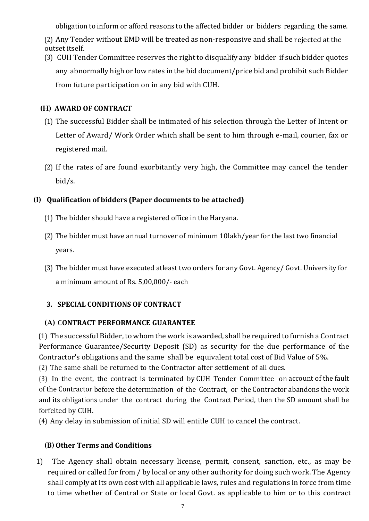obligation to inform or afford reasons to the affected bidder or bidders regarding the same.

(2) Any Tender without EMD will be treated as non-responsive and shall be rejected at the outset itself.

(3) CUH Tender Committee reserves the right to disqualify any bidder if such bidder quotes any abnormally high or low rates in the bid document/price bid and prohibit such Bidder from future participation on in any bid with CUH.

### **(H) AWARD OF CONTRACT**

- (1) The successful Bidder shall be intimated of his selection through the Letter of Intent or Letter of Award/ Work Order which shall be sent to him through e-mail, courier, fax or registered mail.
- (2) If the rates of are found exorbitantly very high, the Committee may cancel the tender bid/s.

# **(I) Qualification of bidders (Paper documents to be attached)**

- (1) The bidder should have a registered office in the Haryana.
- (2) The bidder must have annual turnover of minimum 10lakh/year for the last two financial years.
- (3) The bidder must have executed atleast two orders for any Govt. Agency/ Govt. University for a minimum amount of Rs. 5,00,000/- each

# **3. SPECIAL CONDITIONS OF CONTRACT**

### **(A)** C**ONTRACT PERFORMANCE GUARANTEE**

(1) The successful Bidder, to whom the work is awarded, shall be required to furnish a Contract Performance Guarantee/Security Deposit (SD) as security for the due performance of the Contractor's obligations and the same shall be equivalent total cost of Bid Value of 5%.

(2) The same shall be returned to the Contractor after settlement of all dues.

(3) In the event, the contract is terminated by CUH Tender Committee on account of the fault of the Contractor before the determination of the Contract, or the Contractor abandons the work and its obligations under the contract during the Contract Period, then the SD amount shall be forfeited by CUH.

(4) Any delay in submission of initial SD will entitle CUH to cancel the contract.

### **(B) Other Terms and Conditions**

1) The Agency shall obtain necessary license, permit, consent, sanction, etc., as may be required or called for from / by local or any other authority for doing such work. The Agency shall comply at its own cost with all applicable laws, rules and regulations in force from time to time whether of Central or State or local Govt. as applicable to him or to this contract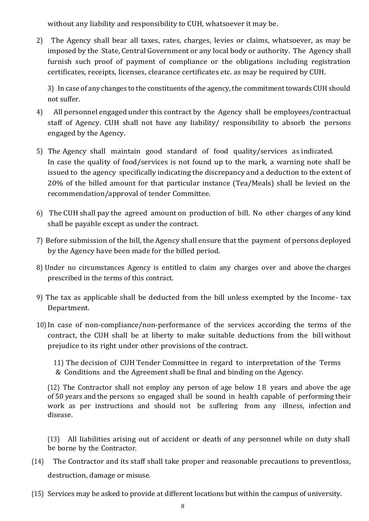without any liability and responsibility to CUH, whatsoever it may be.

2) The Agency shall bear all taxes, rates, charges, levies or claims, whatsoever, as may be imposed by the State, Central Government or any local body or authority. The Agency shall furnish such proof of payment of compliance or the obligations including registration certificates, receipts, licenses, clearance certificates etc. as may be required by CUH.

3) In case of any changes to the constituents of the agency, the commitment towards CUH should not suffer.

- 4) All personnel engaged under this contract by the Agency shall be employees/contractual staff of Agency. CUH shall not have any liability/ responsibility to absorb the persons engaged by the Agency.
- 5) The Agency shall maintain good standard of food quality/services as indicated. In case the quality of food/services is not found up to the mark, a warning note shall be issued to the agency specifically indicating the discrepancy and a deduction to the extent of 20% of the billed amount for that particular instance (Tea/Meals) shall be levied on the recommendation/approval of tender Committee.
- 6) The CUH shall pay the agreed amount on production of bill. No other charges of any kind shall be payable except as under the contract.
- 7) Before submission of the bill, the Agency shall ensure that the payment of persons deployed by the Agency have been made for the billed period.
- 8) Under no circumstances Agency is entitled to claim any charges over and above the charges prescribed in the terms of this contract.
- 9) The tax as applicable shall be deducted from the bill unless exempted by the Income- tax Department.
- 10)In case of non-compliance/non-performance of the services according the terms of the contract, the CUH shall be at liberty to make suitable deductions from the bill without prejudice to its right under other provisions of the contract.

11) The decision of CUH Tender Committee in regard to interpretation of the Terms & Conditions and the Agreement shall be final and binding on the Agency.

(12) The Contractor shall not employ any person of age below 1 8 years and above the age of 50 years and the persons so engaged shall be sound in health capable of performing their work as per instructions and should not be suffering from any illness, infection and disease.

(13) All liabilities arising out of accident or death of any personnel while on duty shall be borne by the Contractor.

- (14) The Contractor and its staff shall take proper and reasonable precautions to preventloss, destruction, damage or misuse.
- (15) Services may be asked to provide at different locations but within the campus of university.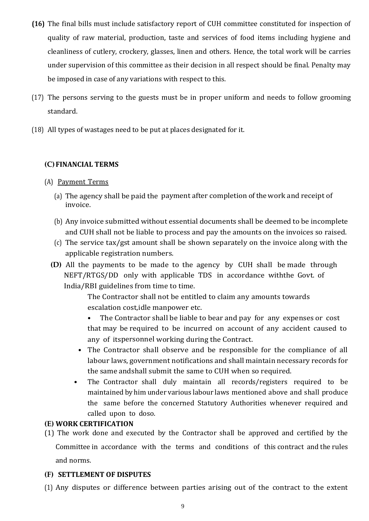- **(16)** The final bills must include satisfactory report of CUH committee constituted for inspection of quality of raw material, production, taste and services of food items including hygiene and cleanliness of cutlery, crockery, glasses, linen and others. Hence, the total work will be carries under supervision of this committee as their decision in all respect should be final. Penalty may be imposed in case of any variations with respect to this.
- (17) The persons serving to the guests must be in proper uniform and needs to follow grooming standard.
- (18) All types of wastages need to be put at places designated for it.

### **(C)FINANCIAL TERMS**

### (A) Payment Terms

- (a) The agency shall be paid the payment after completion of the work and receipt of invoice.
- (b) Any invoice submitted without essential documents shall be deemed to be incomplete and CUH shall not be liable to process and pay the amounts on the invoices so raised.
- (c) The service tax/gst amount shall be shown separately on the invoice along with the applicable registration numbers.
- **(D)** All the payments to be made to the agency by CUH shall be made through NEFT/RTGS/DD only with applicable TDS in accordance withthe Govt. of India/RBI guidelines from time to time.

The Contractor shall not be entitled to claim any amounts towards escalation cost,idle manpower etc.

The Contractor shall be liable to bear and pay for any expenses or cost that may be required to be incurred on account of any accident caused to any of itspersonnel working during the Contract.

- The Contractor shall observe and be responsible for the compliance of all labour laws, government notifications and shall maintain necessary records for the same andshall submit the same to CUH when so required.
- The Contractor shall duly maintain all records/registers required to be maintained by him under various labour laws mentioned above and shall produce the same before the concerned Statutory Authorities whenever required and called upon to doso.

### **(E) WORK CERTIFICATION**

(1) The work done and executed by the Contractor shall be approved and certified by the Committee in accordance with the terms and conditions of this contract and the rules and norms.

### **(F) SETTLEMENT OF DISPUTES**

(1) Any disputes or difference between parties arising out of the contract to the extent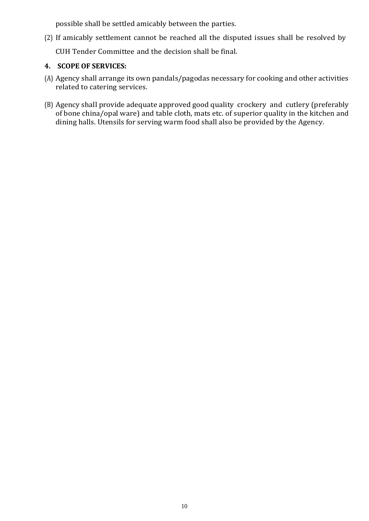possible shall be settled amicably between the parties.

(2) If amicably settlement cannot be reached all the disputed issues shall be resolved by

CUH Tender Committee and the decision shall be final.

### **4. SCOPE OF SERVICES:**

- (A) Agency shall arrange its own pandals/pagodas necessary for cooking and other activities related to catering services.
- (B) Agency shall provide adequate approved good quality crockery and cutlery (preferably of bone china/opal ware) and table cloth, mats etc. of superior quality in the kitchen and dining halls. Utensils for serving warm food shall also be provided by the Agency.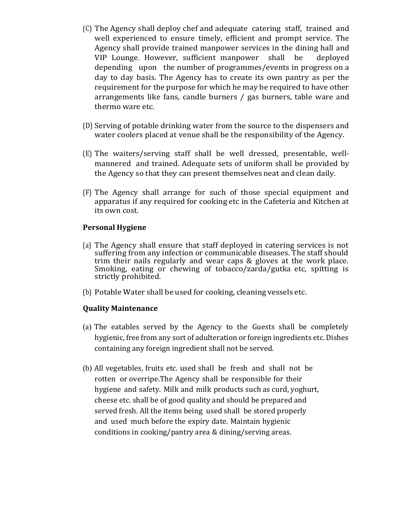- (C) The Agency shall deploy chef and adequate catering staff, trained and well experienced to ensure timely, efficient and prompt service. The Agency shall provide trained manpower services in the dining hall and VIP Lounge. However, sufficient manpower shall be deployed depending upon the number of programmes/events in progress on a day to day basis. The Agency has to create its own pantry as per the requirement for the purpose for which he may be required to have other arrangements like fans, candle burners / gas burners, table ware and thermo ware etc.
- (D) Serving of potable drinking water from the source to the dispensers and water coolers placed at venue shall be the responsibility of the Agency.
- (E) The waiters/serving staff shall be well dressed, presentable, wellmannered and trained. Adequate sets of uniform shall be provided by the Agency so that they can present themselves neat and clean daily.
- (F) The Agency shall arrange for such of those special equipment and apparatus if any required for cooking etc in the Cafeteria and Kitchen at its own cost.

#### **Personal Hygiene**

- (a) The Agency shall ensure that staff deployed in catering services is not suffering from any infection or communicable diseases. The staff should trim their nails regularly and wear caps & gloves at the work place. Smoking, eating or chewing of tobacco/zarda/gutka etc, spitting is strictly prohibited.
- (b) Potable Water shall be used for cooking, cleaning vessels etc.

#### **Quality Maintenance**

- (a) The eatables served by the Agency to the Guests shall be completely hygienic, free from any sort of adulteration or foreign ingredients etc. Dishes containing any foreign ingredient shall not be served.
- (b) All vegetables, fruits etc. used shall be fresh and shall not be rotten or overripe.The Agency shall be responsible for their hygiene and safety. Milk and milk products such as curd, yoghurt, cheese etc. shall be of good quality and should be prepared and served fresh. All the items being used shall be stored properly and used much before the expiry date. Maintain hygienic conditions in cooking/pantry area & dining/serving areas.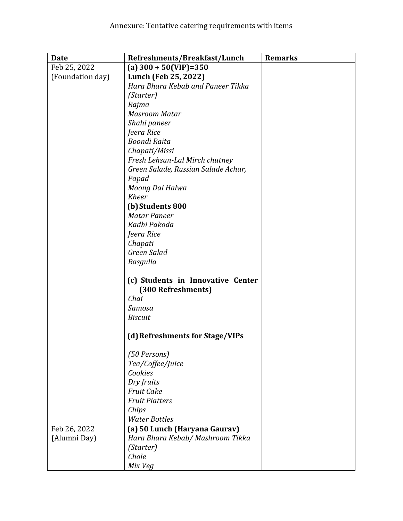| <b>Date</b>      | Refreshments/Breakfast/Lunch                            | <b>Remarks</b> |
|------------------|---------------------------------------------------------|----------------|
| Feb 25, 2022     | (a) $300 + 50$ (VIP)=350                                |                |
| (Foundation day) | Lunch (Feb 25, 2022)                                    |                |
|                  | Hara Bhara Kebab and Paneer Tikka                       |                |
|                  | (Starter)                                               |                |
|                  | Rajma                                                   |                |
|                  | <b>Masroom Matar</b>                                    |                |
|                  | Shahi paneer                                            |                |
|                  | Jeera Rice                                              |                |
|                  | <b>Boondi Raita</b>                                     |                |
|                  | Chapati/Missi                                           |                |
|                  | Fresh Lehsun-Lal Mirch chutney                          |                |
|                  | Green Salade, Russian Salade Achar,                     |                |
|                  | Papad                                                   |                |
|                  | Moong Dal Halwa                                         |                |
|                  | <b>Kheer</b>                                            |                |
|                  | (b) Students 800                                        |                |
|                  | <b>Matar Paneer</b>                                     |                |
|                  | Kadhi Pakoda                                            |                |
|                  | Jeera Rice                                              |                |
|                  | Chapati                                                 |                |
|                  | Green Salad                                             |                |
|                  | Rasgulla                                                |                |
|                  | (c) Students in Innovative Center<br>(300 Refreshments) |                |
|                  | Chai                                                    |                |
|                  | Samosa                                                  |                |
|                  | <b>Biscuit</b>                                          |                |
|                  |                                                         |                |
|                  | (d) Refreshments for Stage/VIPs                         |                |
|                  | (50 Persons)                                            |                |
|                  | Tea/Coffee/Juice                                        |                |
|                  | Cookies                                                 |                |
|                  | Dry fruits                                              |                |
|                  | <b>Fruit Cake</b>                                       |                |
|                  | <b>Fruit Platters</b>                                   |                |
|                  | Chips                                                   |                |
|                  | <b>Water Bottles</b>                                    |                |
| Feb 26, 2022     | (a) 50 Lunch (Haryana Gaurav)                           |                |
| (Alumni Day)     | Hara Bhara Kebab/ Mashroom Tikka                        |                |
|                  | (Starter)                                               |                |
|                  | Chole                                                   |                |
|                  | Mix Veg                                                 |                |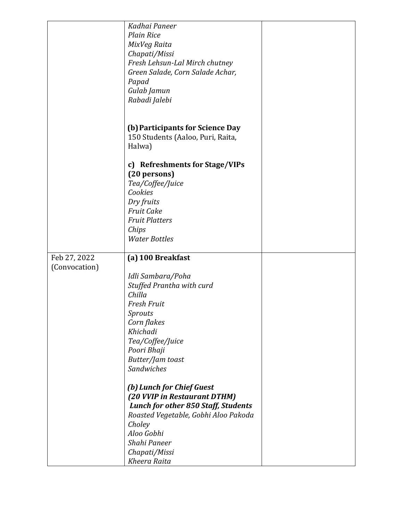|               | Kadhai Paneer                              |  |
|---------------|--------------------------------------------|--|
|               | <b>Plain Rice</b>                          |  |
|               |                                            |  |
|               | MixVeg Raita                               |  |
|               | Chapati/Missi                              |  |
|               | Fresh Lehsun-Lal Mirch chutney             |  |
|               | Green Salade, Corn Salade Achar,           |  |
|               | Papad                                      |  |
|               | Gulab Jamun                                |  |
|               | Rabadi Jalebi                              |  |
|               |                                            |  |
|               |                                            |  |
|               |                                            |  |
|               | (b) Participants for Science Day           |  |
|               | 150 Students (Aaloo, Puri, Raita,          |  |
|               | Halwa)                                     |  |
|               |                                            |  |
|               | c) Refreshments for Stage/VIPs             |  |
|               | (20 persons)                               |  |
|               | Tea/Coffee/Juice                           |  |
|               | Cookies                                    |  |
|               |                                            |  |
|               | Dry fruits                                 |  |
|               | <b>Fruit Cake</b>                          |  |
|               | <b>Fruit Platters</b>                      |  |
|               | Chips                                      |  |
|               | <b>Water Bottles</b>                       |  |
|               |                                            |  |
| Feb 27, 2022  | (a) 100 Breakfast                          |  |
| (Convocation) |                                            |  |
|               | Idli Sambara/Poha                          |  |
|               |                                            |  |
|               | Stuffed Prantha with curd                  |  |
|               | Chilla                                     |  |
|               | <b>Fresh Fruit</b>                         |  |
|               | Sprouts                                    |  |
|               | Corn flakes                                |  |
|               | Khichadi                                   |  |
|               | Tea/Coffee/Juice                           |  |
|               |                                            |  |
|               |                                            |  |
|               | Poori Bhaji                                |  |
|               | Butter/Jam toast                           |  |
|               | Sandwiches                                 |  |
|               |                                            |  |
|               | (b) Lunch for Chief Guest                  |  |
|               | (20 VVIP in Restaurant DTHM)               |  |
|               | <b>Lunch for other 850 Staff, Students</b> |  |
|               | Roasted Vegetable, Gobhi Aloo Pakoda       |  |
|               | Choley                                     |  |
|               | Aloo Gobhi                                 |  |
|               | Shahi Paneer                               |  |
|               | Chapati/Missi                              |  |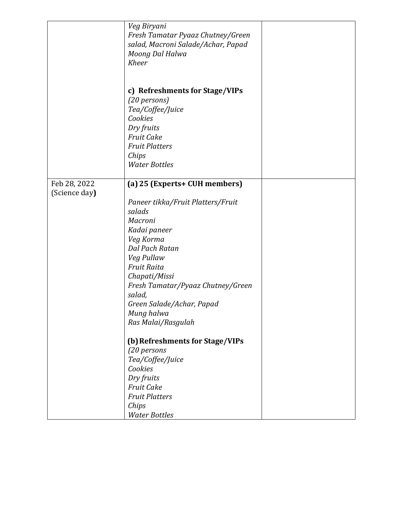|                               | Veg Biryani<br>Fresh Tamatar Pyaaz Chutney/Green<br>salad, Macroni Salade/Achar, Papad<br>Moong Dal Halwa<br><b>Kheer</b>                                                                                                                                                                                   |  |
|-------------------------------|-------------------------------------------------------------------------------------------------------------------------------------------------------------------------------------------------------------------------------------------------------------------------------------------------------------|--|
|                               | c) Refreshments for Stage/VIPs<br>(20 persons)<br>Tea/Coffee/Juice<br>Cookies<br>Dry fruits<br><b>Fruit Cake</b><br><b>Fruit Platters</b><br>Chips<br><b>Water Bottles</b>                                                                                                                                  |  |
| Feb 28, 2022<br>(Science day) | (a) 25 (Experts+ CUH members)<br>Paneer tikka/Fruit Platters/Fruit<br>salads<br>Macroni<br>Kadai paneer<br>Veg Korma<br>Dal Pach Ratan<br>Veg Pullaw<br><b>Fruit Raita</b><br>Chapati/Missi<br>Fresh Tamatar/Pyaaz Chutney/Green<br>salad,<br>Green Salade/Achar, Papad<br>Mung halwa<br>Ras Malai/Rasgulah |  |
|                               | (b) Refreshments for Stage/VIPs<br>(20 persons<br>Tea/Coffee/Juice<br>Cookies<br>Dry fruits<br><b>Fruit Cake</b><br><b>Fruit Platters</b><br>Chips<br><b>Water Bottles</b>                                                                                                                                  |  |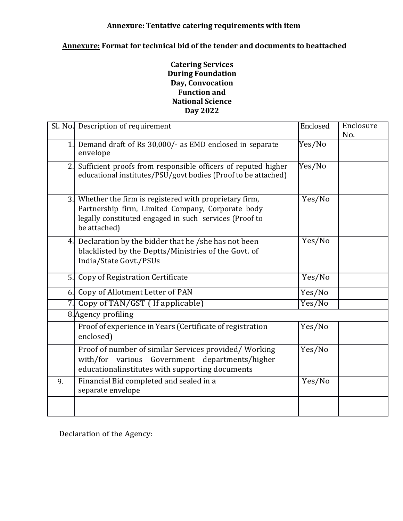#### **Annexure:Tentative catering requirements with item**

# **Annexure: Format for technical bid of the tender and documents to beattached**

#### **Catering Services During Foundation Day, Convocation Function and National Science Day 2022**

|    | Sl. No. Description of requirement                                                                                                                                                      | Enclosed | Enclosure |
|----|-----------------------------------------------------------------------------------------------------------------------------------------------------------------------------------------|----------|-----------|
|    |                                                                                                                                                                                         |          | No.       |
| 1. | Demand draft of Rs 30,000/- as EMD enclosed in separate<br>envelope                                                                                                                     | Yes/No   |           |
| 2. | Sufficient proofs from responsible officers of reputed higher<br>educational institutes/PSU/govt bodies (Proof to be attached)                                                          | Yes/No   |           |
|    | 3. Whether the firm is registered with proprietary firm,<br>Partnership firm, Limited Company, Corporate body<br>legally constituted engaged in such services (Proof to<br>be attached) | Yes/No   |           |
|    | 4. Declaration by the bidder that he /she has not been<br>blacklisted by the Deptts/Ministries of the Govt. of<br>India/State Govt./PSUs                                                | Yes/No   |           |
| 5. | Copy of Registration Certificate                                                                                                                                                        | Yes/No   |           |
| 6. | Copy of Allotment Letter of PAN                                                                                                                                                         | Yes/No   |           |
|    | Copy of TAN/GST (If applicable)                                                                                                                                                         | Yes/No   |           |
|    | 8. Agency profiling                                                                                                                                                                     |          |           |
|    | Proof of experience in Years (Certificate of registration<br>enclosed)                                                                                                                  | Yes/No   |           |
|    | Proof of number of similar Services provided/Working<br>Government departments/higher<br>with/for<br>various<br>educationalinstitutes with supporting documents                         | Yes/No   |           |
| 9. | Financial Bid completed and sealed in a<br>separate envelope                                                                                                                            | Yes/No   |           |
|    |                                                                                                                                                                                         |          |           |

Declaration of the Agency: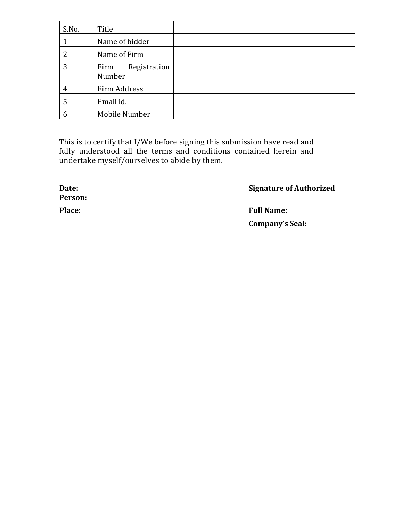| S.No. | Title                          |  |
|-------|--------------------------------|--|
|       | Name of bidder                 |  |
| っ     | Name of Firm                   |  |
| 3     | Registration<br>Firm<br>Number |  |
| 4     | Firm Address                   |  |
| 5     | Email id.                      |  |
| 6     | Mobile Number                  |  |

This is to certify that I/We before signing this submission have read and fully understood all the terms and conditions contained herein and undertake myself/ourselves to abide by them.

**Person:**

**Date: Signature of Authorized**

**Place: Full Name: Company's Seal:**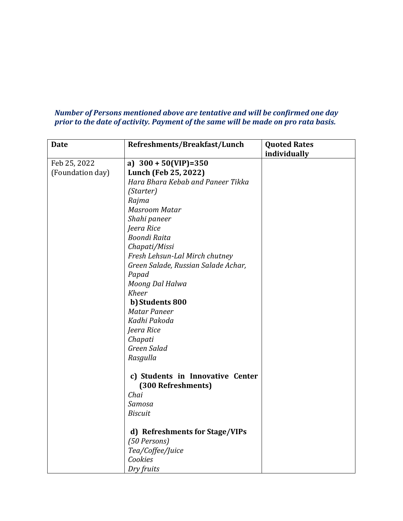#### *Number of Persons mentioned above are tentative and will be confirmed one day prior to the date of activity. Payment of the same will be made on pro rata basis.*

| <b>Date</b>      | Refreshments/Breakfast/Lunch        | <b>Quoted Rates</b> |
|------------------|-------------------------------------|---------------------|
|                  |                                     | individually        |
| Feb 25, 2022     | a) $300 + 50(VIP) = 350$            |                     |
| (Foundation day) | Lunch (Feb 25, 2022)                |                     |
|                  | Hara Bhara Kebab and Paneer Tikka   |                     |
|                  | (Starter)                           |                     |
|                  | Rajma                               |                     |
|                  | <b>Masroom Matar</b>                |                     |
|                  | Shahi paneer                        |                     |
|                  | Jeera Rice                          |                     |
|                  | <b>Boondi Raita</b>                 |                     |
|                  | Chapati/Missi                       |                     |
|                  | Fresh Lehsun-Lal Mirch chutney      |                     |
|                  | Green Salade, Russian Salade Achar, |                     |
|                  | Papad                               |                     |
|                  | Moong Dal Halwa                     |                     |
|                  | <b>Kheer</b>                        |                     |
|                  | b) Students 800                     |                     |
|                  | <b>Matar Paneer</b>                 |                     |
|                  | Kadhi Pakoda                        |                     |
|                  | Jeera Rice                          |                     |
|                  | Chapati                             |                     |
|                  | Green Salad                         |                     |
|                  | Rasgulla                            |                     |
|                  |                                     |                     |
|                  | c) Students in Innovative Center    |                     |
|                  | (300 Refreshments)                  |                     |
|                  | Chai                                |                     |
|                  | Samosa                              |                     |
|                  | <b>Biscuit</b>                      |                     |
|                  |                                     |                     |
|                  | d) Refreshments for Stage/VIPs      |                     |
|                  | (50 Persons)                        |                     |
|                  | Tea/Coffee/Juice                    |                     |
|                  | Cookies                             |                     |
|                  | Dry fruits                          |                     |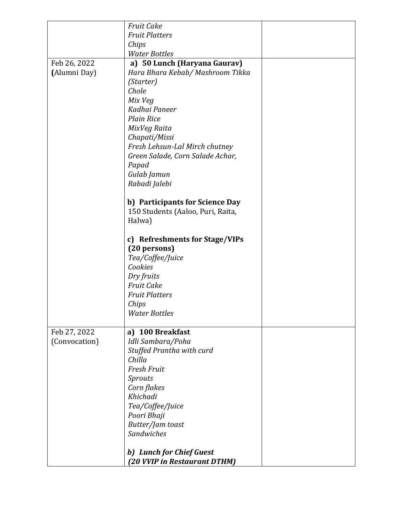|               | <b>Fruit Cake</b>                 |  |
|---------------|-----------------------------------|--|
|               | <b>Fruit Platters</b>             |  |
|               | Chips                             |  |
|               | <b>Water Bottles</b>              |  |
| Feb 26, 2022  | a) 50 Lunch (Haryana Gaurav)      |  |
| (Alumni Day)  | Hara Bhara Kebab/ Mashroom Tikka  |  |
|               | (Starter)                         |  |
|               | Chole                             |  |
|               | Mix Veg                           |  |
|               | Kadhai Paneer                     |  |
|               | <b>Plain Rice</b>                 |  |
|               | MixVeg Raita                      |  |
|               | Chapati/Missi                     |  |
|               | Fresh Lehsun-Lal Mirch chutney    |  |
|               | Green Salade, Corn Salade Achar,  |  |
|               | Papad                             |  |
|               | Gulab Jamun                       |  |
|               | Rabadi Jalebi                     |  |
|               |                                   |  |
|               | b) Participants for Science Day   |  |
|               | 150 Students (Aaloo, Puri, Raita, |  |
|               | Halwa)                            |  |
|               |                                   |  |
|               | c) Refreshments for Stage/VIPs    |  |
|               | (20 persons)                      |  |
|               | Tea/Coffee/Juice                  |  |
|               | Cookies                           |  |
|               | Dry fruits                        |  |
|               | <b>Fruit Cake</b>                 |  |
|               | <b>Fruit Platters</b>             |  |
|               | Chips                             |  |
|               | <b>Water Bottles</b>              |  |
|               |                                   |  |
| Feb 27, 2022  | a) 100 Breakfast                  |  |
| (Convocation) | Idli Sambara/Poha                 |  |
|               | Stuffed Prantha with curd         |  |
|               | Chilla                            |  |
|               | <b>Fresh Fruit</b>                |  |
|               | <b>Sprouts</b>                    |  |
|               | Corn flakes                       |  |
|               | Khichadi                          |  |
|               |                                   |  |
|               | Tea/Coffee/Juice                  |  |
|               | Poori Bhaji                       |  |
|               | Butter/Jam toast<br>Sandwiches    |  |
|               |                                   |  |
|               | b) Lunch for Chief Guest          |  |
|               | (20 VVIP in Restaurant DTHM)      |  |
|               |                                   |  |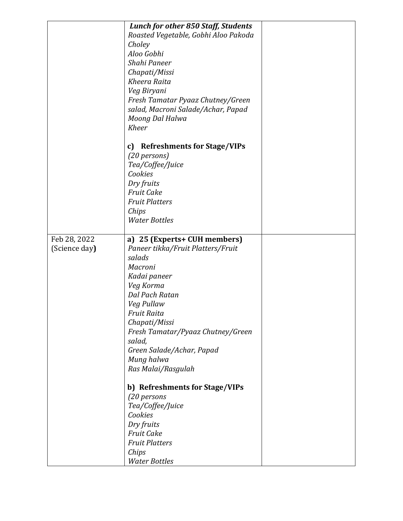|               | <b>Lunch for other 850 Staff, Students</b> |  |
|---------------|--------------------------------------------|--|
|               | Roasted Vegetable, Gobhi Aloo Pakoda       |  |
|               | Choley                                     |  |
|               | Aloo Gobhi                                 |  |
|               | Shahi Paneer                               |  |
|               |                                            |  |
|               | Chapati/Missi                              |  |
|               | Kheera Raita                               |  |
|               | Veg Biryani                                |  |
|               | Fresh Tamatar Pyaaz Chutney/Green          |  |
|               | salad, Macroni Salade/Achar, Papad         |  |
|               | Moong Dal Halwa                            |  |
|               | <b>Kheer</b>                               |  |
|               |                                            |  |
|               | <b>Refreshments for Stage/VIPs</b>         |  |
|               | c)                                         |  |
|               | (20 persons)                               |  |
|               | Tea/Coffee/Juice                           |  |
|               | Cookies                                    |  |
|               | Dry fruits                                 |  |
|               | <b>Fruit Cake</b>                          |  |
|               | <b>Fruit Platters</b>                      |  |
|               |                                            |  |
|               | Chips                                      |  |
|               | <b>Water Bottles</b>                       |  |
|               |                                            |  |
| Feb 28, 2022  | a) 25 (Experts+ CUH members)               |  |
| (Science day) | Paneer tikka/Fruit Platters/Fruit          |  |
|               | salads                                     |  |
|               | Macroni                                    |  |
|               | Kadai paneer                               |  |
|               |                                            |  |
|               | Veg Korma                                  |  |
|               | Dal Pach Ratan                             |  |
|               | Veg Pullaw                                 |  |
|               | Fruit Raita                                |  |
|               | Chapati/Missi                              |  |
|               | Fresh Tamatar/Pyaaz Chutney/Green          |  |
|               | salad,                                     |  |
|               |                                            |  |
|               | Green Salade/Achar, Papad                  |  |
|               | Mung halwa                                 |  |
|               | Ras Malai/Rasgulah                         |  |
|               |                                            |  |
|               | b) Refreshments for Stage/VIPs             |  |
|               | (20 persons                                |  |
|               | Tea/Coffee/Juice                           |  |
|               | Cookies                                    |  |
|               | Dry fruits                                 |  |
|               | <b>Fruit Cake</b>                          |  |
|               | <b>Fruit Platters</b>                      |  |
|               |                                            |  |
|               | Chips                                      |  |
|               | <b>Water Bottles</b>                       |  |